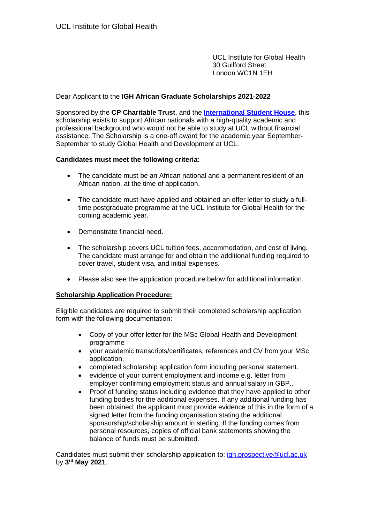UCL Institute for Global Health 30 Guilford Street London WC1N 1EH

### Dear Applicant to the **IGH African Graduate Scholarships 2021-2022**

Sponsored by the **CP Charitable Trust**, and the **[International Student House](https://www.ish.org.uk/)**, this scholarship exists to support African nationals with a high-quality academic and professional background who would not be able to study at UCL without financial assistance. The Scholarship is a one-off award for the academic year September-September to study Global Health and Development at UCL.

#### **Candidates must meet the following criteria:**

- The candidate must be an African national and a permanent resident of an African nation, at the time of application.
- The candidate must have applied and obtained an offer letter to study a fulltime postgraduate programme at the UCL Institute for Global Health for the coming academic year.
- Demonstrate financial need.
- The scholarship covers UCL tuition fees, accommodation, and cost of living. The candidate must arrange for and obtain the additional funding required to cover travel, student visa, and initial expenses.
- Please also see the application procedure below for additional information.

### **Scholarship Application Procedure:**

Eligible candidates are required to submit their completed scholarship application form with the following documentation:

- Copy of your offer letter for the MSc Global Health and Development programme
- your academic transcripts/certificates, references and CV from your MSc application.
- completed scholarship application form including personal statement.
- evidence of your current employment and income e.g. letter from employer confirming employment status and annual salary in GBP..
- Proof of funding status including evidence that they have applied to other funding bodies for the additional expenses. If any additional funding has been obtained, the applicant must provide evidence of this in the form of a signed letter from the funding organisation stating the additional sponsorship/scholarship amount in sterling. If the funding comes from personal resources, copies of official bank statements showing the balance of funds must be submitted.

Candidates must submit their scholarship application to: [igh.prospective@ucl.ac.uk](mailto:igh.prospective@ucl.ac.uk) by **3 rd May 2021**.